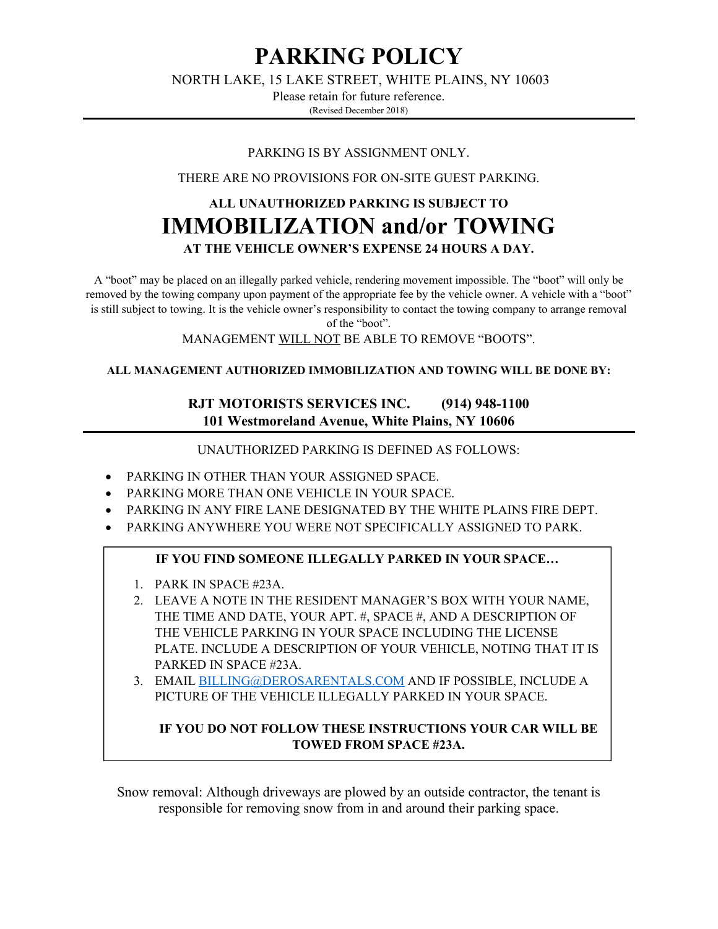# **PARKING POLICY**

NORTH LAKE, 15 LAKE STREET, WHITE PLAINS, NY 10603

Please retain for future reference. (Revised December 2018)

#### PARKING IS BY ASSIGNMENT ONLY.

THERE ARE NO PROVISIONS FOR ON-SITE GUEST PARKING.

# **ALL UNAUTHORIZED PARKING IS SUBJECT TO IMMOBILIZATION and/or TOWING AT THE VEHICLE OWNER'S EXPENSE 24 HOURS A DAY.**

A "boot" may be placed on an illegally parked vehicle, rendering movement impossible. The "boot" will only be removed by the towing company upon payment of the appropriate fee by the vehicle owner. A vehicle with a "boot" is still subject to towing. It is the vehicle owner's responsibility to contact the towing company to arrange removal of the "boot".

MANAGEMENT WILL NOT BE ABLE TO REMOVE "BOOTS".

#### **ALL MANAGEMENT AUTHORIZED IMMOBILIZATION AND TOWING WILL BE DONE BY:**

## **RJT MOTORISTS SERVICES INC. (914) 948-1100 101 Westmoreland Avenue, White Plains, NY 10606**

UNAUTHORIZED PARKING IS DEFINED AS FOLLOWS:

- PARKING IN OTHER THAN YOUR ASSIGNED SPACE.
- PARKING MORE THAN ONE VEHICLE IN YOUR SPACE.
- PARKING IN ANY FIRE LANE DESIGNATED BY THE WHITE PLAINS FIRE DEPT.
- PARKING ANYWHERE YOU WERE NOT SPECIFICALLY ASSIGNED TO PARK.

### **IF YOU FIND SOMEONE ILLEGALLY PARKED IN YOUR SPACE…**

- 1. PARK IN SPACE #23A.
- 2. LEAVE A NOTE IN THE RESIDENT MANAGER'S BOX WITH YOUR NAME, THE TIME AND DATE, YOUR APT. #, SPACE #, AND A DESCRIPTION OF THE VEHICLE PARKING IN YOUR SPACE INCLUDING THE LICENSE PLATE. INCLUDE A DESCRIPTION OF YOUR VEHICLE, NOTING THAT IT IS PARKED IN SPACE #23A.
- 3. EMAIL BILLING@DEROSARENTALS.COM AND IF POSSIBLE, INCLUDE A PICTURE OF THE VEHICLE ILLEGALLY PARKED IN YOUR SPACE.

### **IF YOU DO NOT FOLLOW THESE INSTRUCTIONS YOUR CAR WILL BE TOWED FROM SPACE #23A.**

Snow removal: Although driveways are plowed by an outside contractor, the tenant is responsible for removing snow from in and around their parking space.